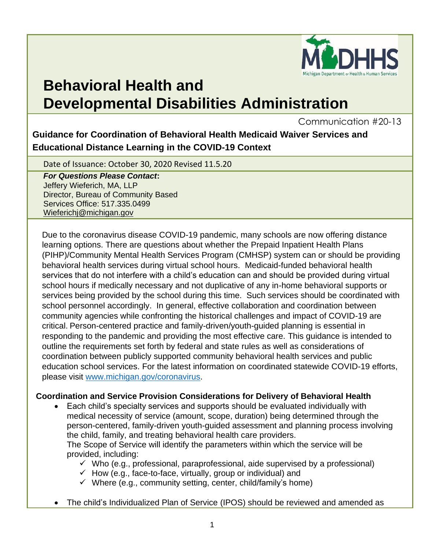

# **Behavioral Health and Developmental Disabilities Administration**

Communication #20-13

**Guidance for Coordination of Behavioral Health Medicaid Waiver Services and Educational Distance Learning in the COVID-19 Context**

Date of Issuance: October 30, 2020 Revised 11.5.20

*For Questions Please Contact***:** Jeffery Wieferich, MA, LLP Director, Bureau of Community Based Services Office: 517.335.0499 [Wieferichj@michigan.gov](mailto:Wieferichj@michigan.gov)

Due to the coronavirus disease COVID-19 pandemic, many schools are now offering distance learning options. There are questions about whether the Prepaid Inpatient Health Plans (PIHP)/Community Mental Health Services Program (CMHSP) system can or should be providing behavioral health services during virtual school hours. Medicaid-funded behavioral health services that do not interfere with a child's education can and should be provided during virtual school hours if medically necessary and not duplicative of any in-home behavioral supports or services being provided by the school during this time. Such services should be coordinated with school personnel accordingly. In general, effective collaboration and coordination between community agencies while confronting the historical challenges and impact of COVID-19 are critical. Person-centered practice and family-driven/youth-guided planning is essential in responding to the pandemic and providing the most effective care. This guidance is intended to outline the requirements set forth by federal and state rules as well as considerations of coordination between publicly supported community behavioral health services and public education school services. For the latest information on coordinated statewide COVID-19 efforts, please visit [www.michigan.gov/coronavirus.](http://www.michigan.gov/coronavirus)

#### **Coordination and Service Provision Considerations for Delivery of Behavioral Health**

- Each child's specialty services and supports should be evaluated individually with medical necessity of service (amount, scope, duration) being determined through the person-centered, family-driven youth-guided assessment and planning process involving the child, family, and treating behavioral health care providers. The Scope of Service will identify the parameters within which the service will be provided, including:
	- $\checkmark$  Who (e.g., professional, paraprofessional, aide supervised by a professional)
	- $\checkmark$  How (e.g., face-to-face, virtually, group or individual) and
	- $\checkmark$  Where (e.g., community setting, center, child/family's home)
- The child's Individualized Plan of Service (IPOS) should be reviewed and amended as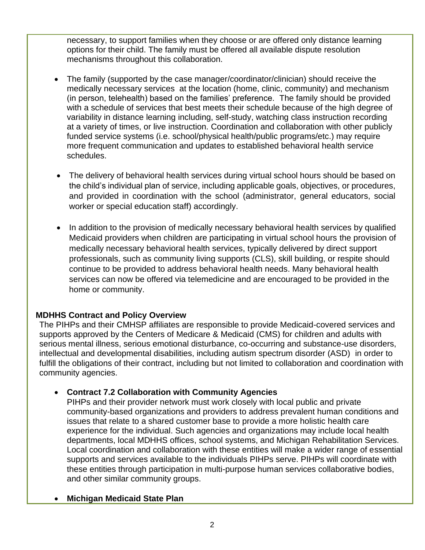necessary, to support families when they choose or are offered only distance learning options for their child. The family must be offered all available dispute resolution mechanisms throughout this collaboration.

- The family (supported by the case manager/coordinator/clinician) should receive the medically necessary services at the location (home, clinic, community) and mechanism (in person, telehealth) based on the families' preference. The family should be provided with a schedule of services that best meets their schedule because of the high degree of variability in distance learning including, self-study, watching class instruction recording at a variety of times, or live instruction. Coordination and collaboration with other publicly funded service systems (i.e. school/physical health/public programs/etc.) may require more frequent communication and updates to established behavioral health service schedules.
- The delivery of behavioral health services during virtual school hours should be based on the child's individual plan of service, including applicable goals, objectives, or procedures, and provided in coordination with the school (administrator, general educators, social worker or special education staff) accordingly.
- In addition to the provision of medically necessary behavioral health services by qualified Medicaid providers when children are participating in virtual school hours the provision of medically necessary behavioral health services, typically delivered by direct support professionals, such as community living supports (CLS), skill building, or respite should continue to be provided to address behavioral health needs. Many behavioral health services can now be offered via telemedicine and are encouraged to be provided in the home or community.

#### **MDHHS Contract and Policy Overview**

The PIHPs and their CMHSP affiliates are responsible to provide Medicaid-covered services and supports approved by the Centers of Medicare & Medicaid (CMS) for children and adults with serious mental illness, serious emotional disturbance, co-occurring and substance-use disorders, intellectual and developmental disabilities, including autism spectrum disorder (ASD) in order to fulfill the obligations of their contract, including but not limited to collaboration and coordination with community agencies.

## • **Contract 7.2 Collaboration with Community Agencies**

PIHPs and their provider network must work closely with local public and private community-based organizations and providers to address prevalent human conditions and issues that relate to a shared customer base to provide a more holistic health care experience for the individual. Such agencies and organizations may include local health departments, local MDHHS offices, school systems, and Michigan Rehabilitation Services. Local coordination and collaboration with these entities will make a wider range of essential supports and services available to the individuals PIHPs serve. PIHPs will coordinate with these entities through participation in multi-purpose human services collaborative bodies, and other similar community groups.

#### • **Michigan Medicaid State Plan**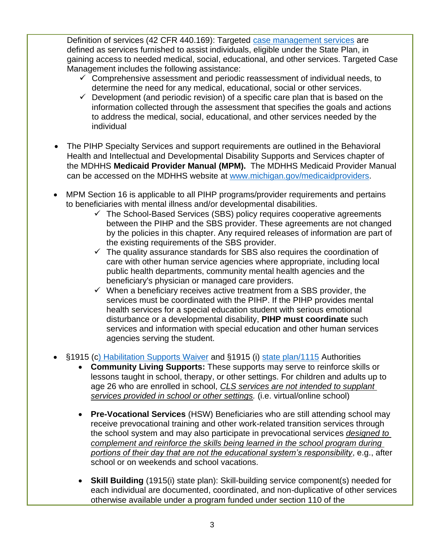Definition of services (42 CFR 440.169): Targeted [case management services](https://www.michigan.gov/documents/mdhhs/Behavioral_Health_Targeted_Care_Management_Update_MI_SPA_Approval_19-0007_667775_7.pdf) are defined as services furnished to assist individuals, eligible under the State Plan, in gaining access to needed medical, social, educational, and other services. Targeted Case Management includes the following assistance:

- $\checkmark$  Comprehensive assessment and periodic reassessment of individual needs, to determine the need for any medical, educational, social or other services.
- $\checkmark$  Development (and periodic revision) of a specific care plan that is based on the information collected through the assessment that specifies the goals and actions to address the medical, social, educational, and other services needed by the individual
- The PIHP Specialty Services and support requirements are outlined in the Behavioral Health and Intellectual and Developmental Disability Supports and Services chapter of the MDHHS **Medicaid Provider Manual (MPM).** The MDHHS Medicaid Provider Manual can be accessed on the MDHHS website at [www.michigan.gov/medicaidproviders.](http://www.michigan.gov/medicaidproviders)
- MPM Section 16 is applicable to all PIHP programs/provider requirements and pertains to beneficiaries with mental illness and/or developmental disabilities.
	- ✓ The School-Based Services (SBS) policy requires cooperative agreements between the PIHP and the SBS provider. These agreements are not changed by the policies in this chapter. Any required releases of information are part of the existing requirements of the SBS provider.
	- $\checkmark$  The quality assurance standards for SBS also requires the coordination of care with other human service agencies where appropriate, including local public health departments, community mental health agencies and the beneficiary's physician or managed care providers.
	- $\checkmark$  When a beneficiary receives active treatment from a SBS provider, the services must be coordinated with the PIHP. If the PIHP provides mental health services for a special education student with serious emotional disturbance or a developmental disability, **PIHP must coordinate** such services and information with special education and other human services agencies serving the student.
- §1915 ([c\) Habilitation Supports Waiver](https://www.michigan.gov/documents/mdhhs/HSW_Renewal_Application_662990_7.pdf) and §1915 (i) [state plan/1115](https://www.michigan.gov/documents/mdhhs/Behavioral_Health_1915i_MI_SPA_Approval_19-0006_667776_7.pdf) Authorities
	- **Community Living Supports:** These supports may serve to reinforce skills or lessons taught in school, therapy, or other settings. For children and adults up to age 26 who are enrolled in school, *CLS services are not intended to supplant services provided in school or other settings.* (i.e. virtual/online school)
	- **Pre-Vocational Services** (HSW) Beneficiaries who are still attending school may receive prevocational training and other work-related transition services through the school system and may also participate in prevocational services *designed to complement and reinforce the skills being learned in the school program during portions of their day that are not the educational system's responsibility*, e.g., after school or on weekends and school vacations.
	- **Skill Building** (1915(i) state plan): Skill-building service component(s) needed for each individual are documented, coordinated, and non-duplicative of other services otherwise available under a program funded under section 110 of the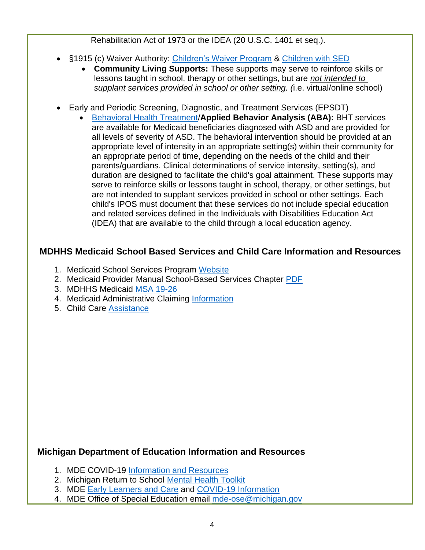Rehabilitation Act of 1973 or the IDEA (20 U.S.C. 1401 et seq.).

- §1915 (c) Waiver Authority: [Children's Waiver Program](https://www.michigan.gov/documents/mdhhs/CWP_Renewal_Application_662989_7.pdf) & [Children with SED](https://www.michigan.gov/documents/mdhhs/SEDW_Renewal_Application_662993_7.pdf)
	- **Community Living Supports:** These supports may serve to reinforce skills or lessons taught in school, therapy or other settings, but are *not intended to supplant services provided in school or other setting. (*i.e. virtual/online school)
- Early and Periodic Screening, Diagnostic, and Treatment Services (EPSDT)
	- [Behavioral Health Treatment/](https://www.michigan.gov/documents/mdhhs/MI_SPA_Approval_15-0010_512801_7.pdf)**Applied Behavior Analysis (ABA):** BHT services are available for Medicaid beneficiaries diagnosed with ASD and are provided for all levels of severity of ASD. The behavioral intervention should be provided at an appropriate level of intensity in an appropriate setting(s) within their community for an appropriate period of time, depending on the needs of the child and their parents/guardians. Clinical determinations of service intensity, setting(s), and duration are designed to facilitate the child's goal attainment. These supports may serve to reinforce skills or lessons taught in school, therapy, or other settings, but are not intended to supplant services provided in school or other settings. Each child's IPOS must document that these services do not include special education and related services defined in the Individuals with Disabilities Education Act (IDEA) that are available to the child through a local education agency.

# **MDHHS Medicaid School Based Services and Child Care Information and Resources**

- 1. Medicaid School Services Program [Website](https://www.michigan.gov/mdhhs/0,5885,7-339-71551_2945_42542_42543_42546_42551-151025--,00.html)
- 2. Medicaid Provider Manual School-Based Services Chapter [PDF](file:///C:/Users/vandenbergm/AppData/Local/Microsoft/Windows/INetCache/Content.Outlook/1INTBVR4/Medicaid%20Provider%20Manual-SBS%20Chapter.pdf)
- 3. MDHHS Medicaid [MSA 19-26](https://www.michigan.gov/documents/mdhhs/MSA_19-26_667170_7.pdf)
- 4. Medicaid Administrative Claiming [Information](https://www.medicaid.gov/medicaid/financial-management/medicaid-administrative-claiming/index.html)
- 5. Child Care [Assistance](https://www.michigan.gov/mdhhs/0,5885,7-339-71547_73804---,00.html)

## **Michigan Department of Education Information and Resources**

- 1. MDE COVID-19 [Information and Resources](https://www.michigan.gov/mde/0,4615,7-140-37818_53456---,00.html)
- 2. Michigan Return to School [Mental Health Toolkit](https://www.mireturntoschooltoolkit.com/)
- 3. MDE [Early Learners and Care](https://www.michigan.gov/mde/0,4615,7-140-63533---,00.html) and [COVID-19 Information](https://www.michigan.gov/mde/0,4615,7-140-63533_99566---,00.htmll)
- 4. MDE Office of Special Education email [mde-ose@michigan.gov](mailto:mde-ose@michigan.gov)